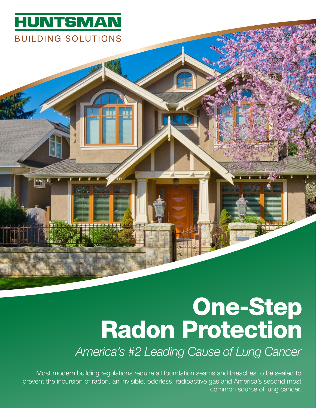

m

## One-Step Radon Protection

*America's #2 Leading Cause of Lung Cancer*

Most modern building regulations require all foundation seams and breaches to be sealed to prevent the incursion of radon, an invisible, odorless, radioactive gas and America's second most common source of lung cancer.